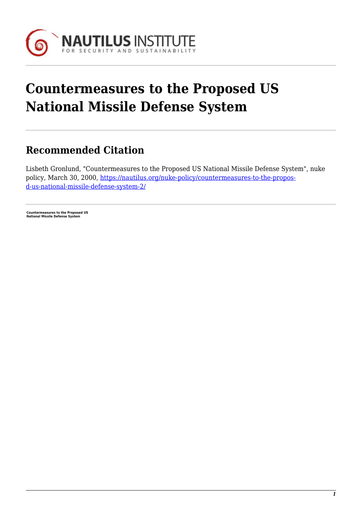

## **Countermeasures to the Proposed US National Missile Defense System**

## **Recommended Citation**

Lisbeth Gronlund, "Countermeasures to the Proposed US National Missile Defense System", nuke policy, March 30, 2000, [https://nautilus.org/nuke-policy/countermeasures-to-the-propos](https://nautilus.org/nuke-policy/countermeasures-to-the-proposed-us-national-missile-defense-system-2/)[d-us-national-missile-defense-system-2/](https://nautilus.org/nuke-policy/countermeasures-to-the-proposed-us-national-missile-defense-system-2/)

**Countermeasures to the Proposed US National Missile Defense System**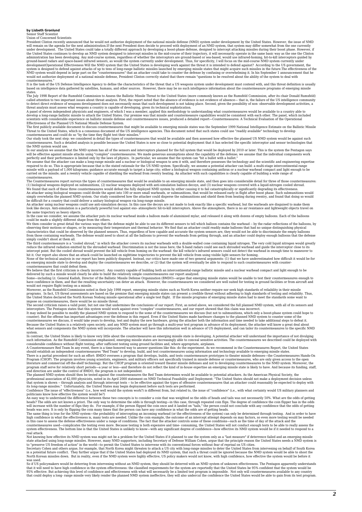## **by Lisbeth Gronlund**

## Senior Staff Scientist Union of Concerned Scientists

President Clinton recently announced that he would not authorize deployment of the national missile defense (NMD) system under development by the United States. However, the issue of NMD<br>will remain on the agenda for the n system is designed to defend against attacks of up to tens of long-range ballistic missiles launched by emerging missile states that might acquire such missiles in the future.The effectiveness of the<br>NMD system would depen countermeasures

It is the task of the US Defense Intelligence Agency to define the characteristics of the threat that a US weapons system under development must contend with, and this threat definition is usually<br>based on intelligence dat

states.<br>The July 1998 Report of the Rumsfeld Commission to Assess the Ballistic Missile Threat to the United States (more commonly known as the Rumsfeld Commission, after its chair Donald Rumsfeld) called attention to two important issues about threat analysis. First, the report noted that the absence of evidence is not evidence of absence— that is, the failure of the US intelligence community to detect direct eviden

develop a long-range ballistic missile to attack the United States. Our premise was that missile and countermeasure capabilities would be consistent with each other. The panel, which included<br>scientists with considerable e

Our study took the next step: we considered in detail the types of countermeasures that would be available and then assessed how effective the planned US NMD system would be against such<br>countermeasures. Such a detailed an

the NMD system would use.<br>In our analysis we assume that the NMD system has all of the sensors and interceptors planned for the full system that would be deployed by 2010 or later. This is the system the Pentagon says

will be effective against missile attacks using "complex" countermeasures. We made generous assumptions about the capability of the defense; we assume that the individual components work<br>perfectly and their performance is missile with a payload of 1,000 kilograms; guidance accurate enough to target a large city; either a biological weapon containing anthrax or a nuclear warhead compact and light enough to be<br>carried on the missile; and a re countermeasures.

The Countermeasures report surveys the types of countermeasures that would be available to an emerging missile state, and then goes into considerable detail for three of those countermeasures: (1) biological weapons deployed on submunitions, (2) nuclear weapons deployed with anti-simulation balloon decoys, and (3) nuclear weapons covered with a liquid-nitrogen cooled shroud.<br>We found that each of these three cou

be difficult for a country that could deliver a unitary biological weapon via long-range missile.<br>An attacker using nuclear weapons could use anti-smund to be only also the base the decoys are not made to look exactly like

the same trajectory as heavy objects.<br>In the case we consider, we assume the attacker puts its nuclear warhead inside a balloon made of aluminized mylar, and released it along with dozens of empty balloons. Each of the bal

reduce the infrared radiation emitted by the shrouded warhead. Discrimination is not the issue here; the X-band radars could see each shrouded warhead and guide the interceptor close to its<br>intercept point. But the cooled

hit it. Our report also shows that an attack could be launched on nighttime trajectories to prevent the kill vehicle from using visible light sensors for homing.<br>None of the technical analysis in our report has been public

We believe that the first criticism is clearly incorrect. Any country capable of building both an intercontinental-range ballistic missile and a nuclear warhead compact and light enough to be<br>delivered by such a missile wo

would not require flight testing on a missile.<br>Moreover, as the Rumsfeld Commission noted in their July 1998 report, emerging missile states such as North Korea neither require nor seek high standards of reliability in the

impose on countermeasures, there would be no missile threat.<br>Intersect and all point, but no to me that undermines the conclusions of our report. First, as noted above, we considered the full planned NMD system, with all o

system.<br>In contrast, the United States is likely to know very little about the countermeasures an emerging missile state is developing. A potential attacker will understand the importance of not divulging<br>In contrast, the Program (CHOP). The program involves young scientists, engineers, and military officers not specifically trained in missile defense or countermeasures, who are only given access to the open literature and commercial off-th

The planned NMD system should then be tested against the countermeasures the Red Team determines would be available to potential attackers. As the American Physical Society, the countermeasures the Red Team determines woul

An easy way to understand the difference between these two concepts is to consider a coin that was weighted so the edds of heads and tails was not cossently 50%. What are the odds for the difference between these two conce

Not knowing how effective its NMD system was might not be a problem for the United States if it planned to use the system only as a "last measure" if deterrence failed and an emerging missile<br>state attacked using long-rang

was used.<br>So if US policymakers would be deterring from intervening without an NMD system of with an NMD system of unknown effectiveness. The Pentagon apparently understands<br>that it will need to have high confidence in the that could deploy a long- range missile very likely render the planned NMD system ineffective, they will also undercut the confidence the United States would be able to gain from its test program.